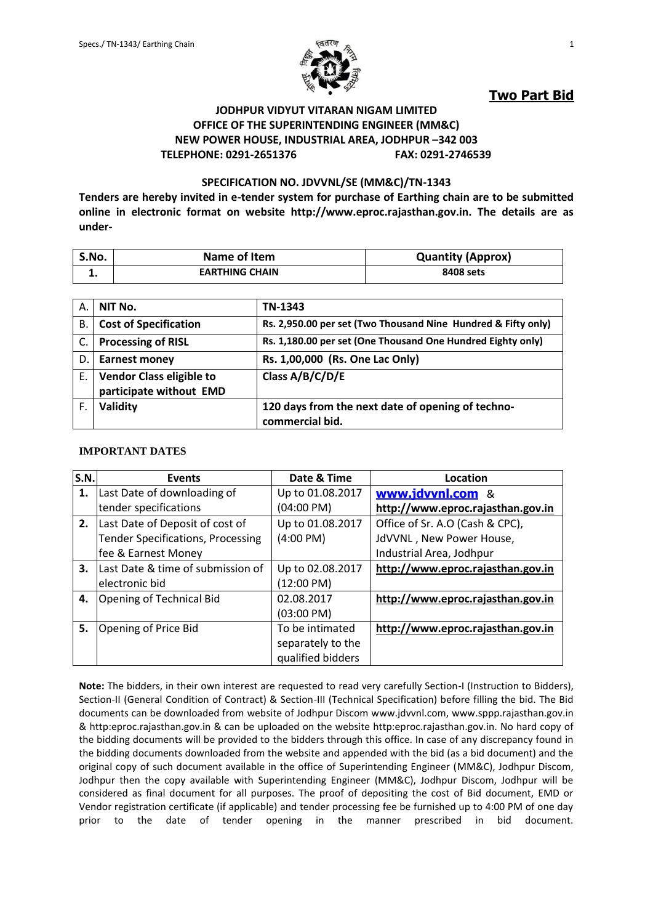

**Two Part Bid**

### **JODHPUR VIDYUT VITARAN NIGAM LIMITED OFFICE OF THE SUPERINTENDING ENGINEER (MM&C) NEW POWER HOUSE, INDUSTRIAL AREA, JODHPUR –342 003 TELEPHONE: 0291-2651376 FAX: 0291-2746539**

#### **SPECIFICATION NO. JDVVNL/SE (MM&C)/TN-1343**

**Tenders are hereby invited in e-tender system for purchase of Earthing chain are to be submitted online in electronic format on website http://www.eproc.rajasthan.gov.in. The details are as under-**

| S.No. | Name of Item          | <b>Quantity (Approx)</b> |
|-------|-----------------------|--------------------------|
|       | <b>EARTHING CHAIN</b> | 8408 sets                |

| А. | NIT No.                                                    | TN-1343                                                              |
|----|------------------------------------------------------------|----------------------------------------------------------------------|
| В. | <b>Cost of Specification</b>                               | Rs. 2,950.00 per set (Two Thousand Nine Hundred & Fifty only)        |
| C. | <b>Processing of RISL</b>                                  | Rs. 1,180.00 per set (One Thousand One Hundred Eighty only)          |
| D. | <b>Earnest money</b>                                       | Rs. 1,00,000 (Rs. One Lac Only)                                      |
| Е. | <b>Vendor Class eligible to</b><br>participate without EMD | Class A/B/C/D/E                                                      |
| F. | Validity                                                   | 120 days from the next date of opening of techno-<br>commercial bid. |

#### **IMPORTANT DATES**

| S.N. | <b>Events</b>                            | Date & Time         | Location                          |
|------|------------------------------------------|---------------------|-----------------------------------|
| 1.   | Last Date of downloading of              | Up to 01.08.2017    | www.jdvvnl.com<br>- &             |
|      | tender specifications                    | (04:00 PM)          | http://www.eproc.rajasthan.gov.in |
| 2.   | Last Date of Deposit of cost of          | Up to 01.08.2017    | Office of Sr. A.O (Cash & CPC),   |
|      | <b>Tender Specifications, Processing</b> | $(4:00 \text{ PM})$ | JdVVNL, New Power House,          |
|      | fee & Earnest Money                      |                     | Industrial Area, Jodhpur          |
| 3.   | Last Date & time of submission of        | Up to 02.08.2017    | http://www.eproc.rajasthan.gov.in |
|      | electronic bid                           | (12:00 PM)          |                                   |
| 4.   | Opening of Technical Bid                 | 02.08.2017          | http://www.eproc.rajasthan.gov.in |
|      |                                          | (03:00 PM)          |                                   |
| 5.   | Opening of Price Bid                     | To be intimated     | http://www.eproc.rajasthan.gov.in |
|      |                                          | separately to the   |                                   |
|      |                                          | qualified bidders   |                                   |

**Note:** The bidders, in their own interest are requested to read very carefully Section-I (Instruction to Bidders), Section-II (General Condition of Contract) & Section-III (Technical Specification) before filling the bid. The Bid documents can be downloaded from website of Jodhpur Discom [www.jdvvnl.com,](http://www.jdvvnl.com/) www.sppp.rajasthan.gov.in & http:eproc.rajasthan.gov.in & can be uploaded on the website http:eproc.rajasthan.gov.in. No hard copy of the bidding documents will be provided to the bidders through this office. In case of any discrepancy found in the bidding documents downloaded from the website and appended with the bid (as a bid document) and the original copy of such document available in the office of Superintending Engineer (MM&C), Jodhpur Discom, Jodhpur then the copy available with Superintending Engineer (MM&C), Jodhpur Discom, Jodhpur will be considered as final document for all purposes. The proof of depositing the cost of Bid document, EMD or Vendor registration certificate (if applicable) and tender processing fee be furnished up to 4:00 PM of one day prior to the date of tender opening in the manner prescribed in bid document.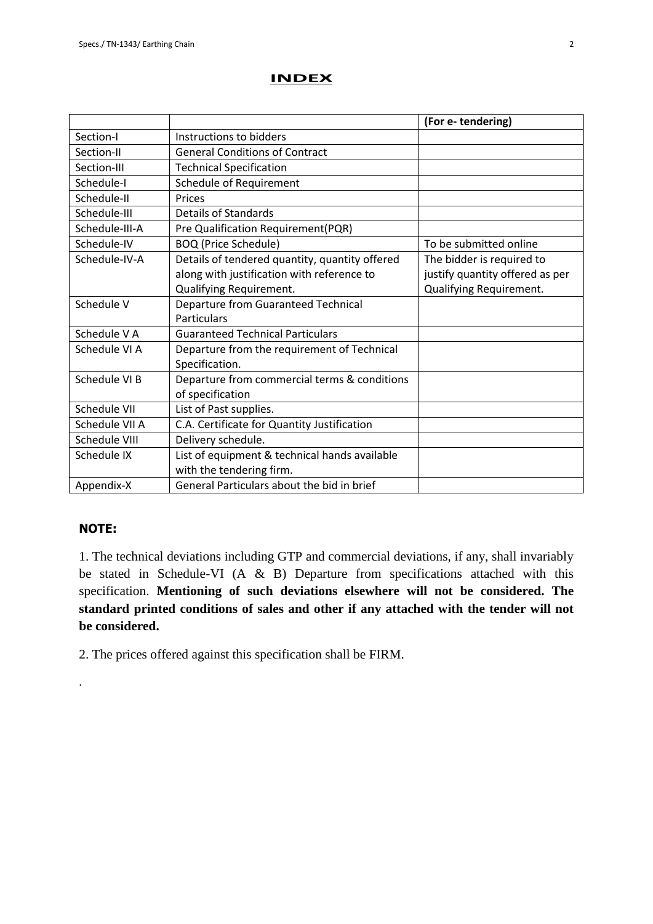### **INDEX**

|                |                                                | (For e-tendering)               |
|----------------|------------------------------------------------|---------------------------------|
| Section-I      | Instructions to bidders                        |                                 |
| Section-II     | <b>General Conditions of Contract</b>          |                                 |
| Section-III    | <b>Technical Specification</b>                 |                                 |
| Schedule-I     | <b>Schedule of Requirement</b>                 |                                 |
| Schedule-II    | Prices                                         |                                 |
| Schedule-III   | <b>Details of Standards</b>                    |                                 |
| Schedule-III-A | Pre Qualification Requirement(PQR)             |                                 |
| Schedule-IV    | <b>BOQ (Price Schedule)</b>                    | To be submitted online          |
| Schedule-IV-A  | Details of tendered quantity, quantity offered | The bidder is required to       |
|                | along with justification with reference to     | justify quantity offered as per |
|                | Qualifying Requirement.                        | Qualifying Requirement.         |
| Schedule V     | Departure from Guaranteed Technical            |                                 |
|                | <b>Particulars</b>                             |                                 |
| Schedule V A   | <b>Guaranteed Technical Particulars</b>        |                                 |
| Schedule VI A  | Departure from the requirement of Technical    |                                 |
|                | Specification.                                 |                                 |
| Schedule VI B  | Departure from commercial terms & conditions   |                                 |
|                | of specification                               |                                 |
| Schedule VII   | List of Past supplies.                         |                                 |
| Schedule VII A | C.A. Certificate for Quantity Justification    |                                 |
| Schedule VIII  | Delivery schedule.                             |                                 |
| Schedule IX    | List of equipment & technical hands available  |                                 |
|                | with the tendering firm.                       |                                 |
| Appendix-X     | General Particulars about the bid in brief     |                                 |

### **NOTE:**

.

1. The technical deviations including GTP and commercial deviations, if any, shall invariably be stated in Schedule-VI (A & B) Departure from specifications attached with this specification. **Mentioning of such deviations elsewhere will not be considered. The standard printed conditions of sales and other if any attached with the tender will not be considered.**

2. The prices offered against this specification shall be FIRM.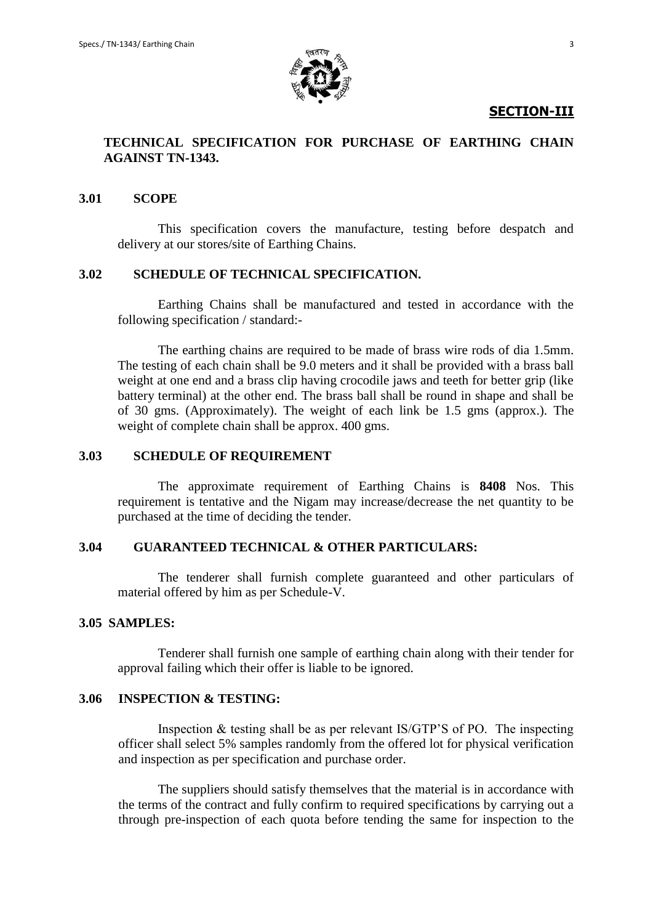

### **SECTION-III**

## **TECHNICAL SPECIFICATION FOR PURCHASE OF EARTHING CHAIN AGAINST TN-1343.**

### **3.01 SCOPE**

This specification covers the manufacture, testing before despatch and delivery at our stores/site of Earthing Chains.

### **3.02 SCHEDULE OF TECHNICAL SPECIFICATION.**

Earthing Chains shall be manufactured and tested in accordance with the following specification / standard:-

The earthing chains are required to be made of brass wire rods of dia 1.5mm. The testing of each chain shall be 9.0 meters and it shall be provided with a brass ball weight at one end and a brass clip having crocodile jaws and teeth for better grip (like battery terminal) at the other end. The brass ball shall be round in shape and shall be of 30 gms. (Approximately). The weight of each link be 1.5 gms (approx.). The weight of complete chain shall be approx. 400 gms.

### **3.03 SCHEDULE OF REQUIREMENT**

The approximate requirement of Earthing Chains is **8408** Nos. This requirement is tentative and the Nigam may increase/decrease the net quantity to be purchased at the time of deciding the tender.

### **3.04 GUARANTEED TECHNICAL & OTHER PARTICULARS:**

The tenderer shall furnish complete guaranteed and other particulars of material offered by him as per Schedule-V.

### **3.05 SAMPLES:**

Tenderer shall furnish one sample of earthing chain along with their tender for approval failing which their offer is liable to be ignored.

### **3.06 INSPECTION & TESTING:**

Inspection & testing shall be as per relevant IS/GTP'S of PO. The inspecting officer shall select 5% samples randomly from the offered lot for physical verification and inspection as per specification and purchase order.

The suppliers should satisfy themselves that the material is in accordance with the terms of the contract and fully confirm to required specifications by carrying out a through pre-inspection of each quota before tending the same for inspection to the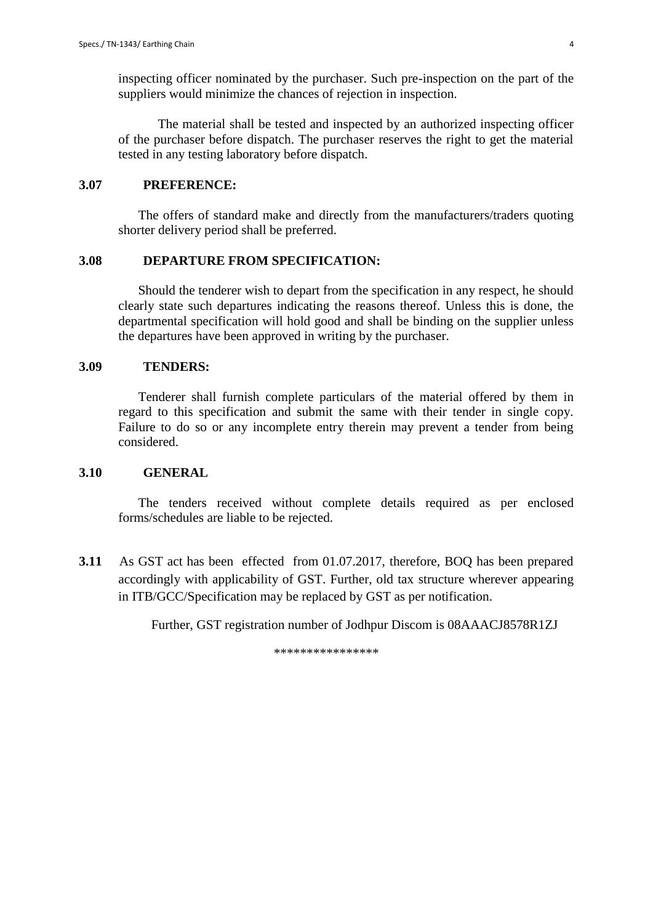inspecting officer nominated by the purchaser. Such pre-inspection on the part of the suppliers would minimize the chances of rejection in inspection.

The material shall be tested and inspected by an authorized inspecting officer of the purchaser before dispatch. The purchaser reserves the right to get the material tested in any testing laboratory before dispatch.

### **3.07 PREFERENCE:**

The offers of standard make and directly from the manufacturers/traders quoting shorter delivery period shall be preferred.

### **3.08 DEPARTURE FROM SPECIFICATION:**

Should the tenderer wish to depart from the specification in any respect, he should clearly state such departures indicating the reasons thereof. Unless this is done, the departmental specification will hold good and shall be binding on the supplier unless the departures have been approved in writing by the purchaser.

### **3.09 TENDERS:**

Tenderer shall furnish complete particulars of the material offered by them in regard to this specification and submit the same with their tender in single copy. Failure to do so or any incomplete entry therein may prevent a tender from being considered.

### **3.10 GENERAL**

The tenders received without complete details required as per enclosed forms/schedules are liable to be rejected.

 **3.11** As GST act has been effected from 01.07.2017, therefore, BOQ has been prepared accordingly with applicability of GST. Further, old tax structure wherever appearing in ITB/GCC/Specification may be replaced by GST as per notification.

Further, GST registration number of Jodhpur Discom is 08AAACJ8578R1ZJ

\*\*\*\*\*\*\*\*\*\*\*\*\*\*\*\*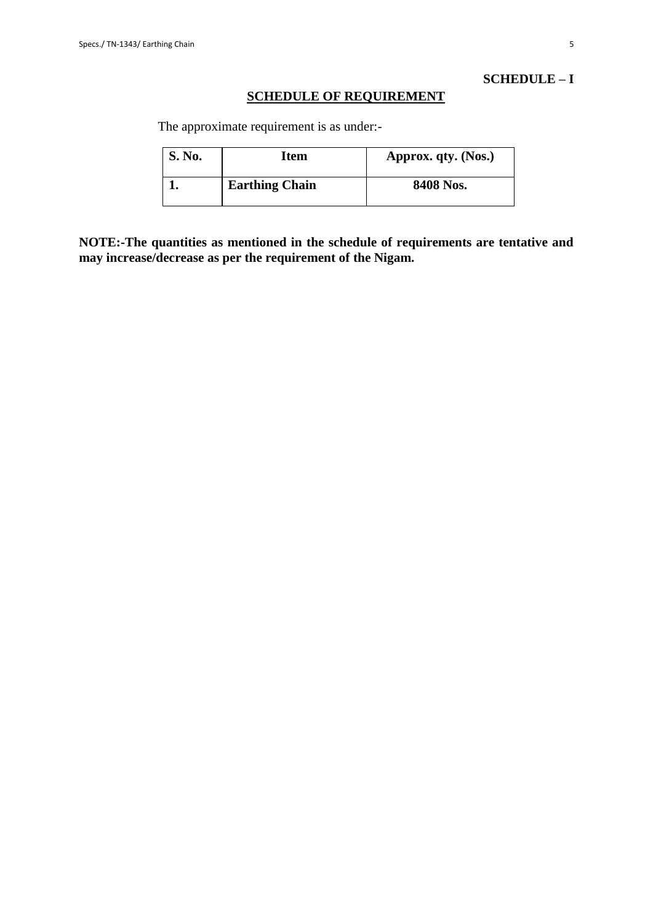### **SCHEDULE – I**

### **SCHEDULE OF REQUIREMENT**

The approximate requirement is as under:-

| <b>S. No.</b> | Item                  | Approx. qty. (Nos.) |
|---------------|-----------------------|---------------------|
|               | <b>Earthing Chain</b> | 8408 Nos.           |

**NOTE:-The quantities as mentioned in the schedule of requirements are tentative and may increase/decrease as per the requirement of the Nigam.**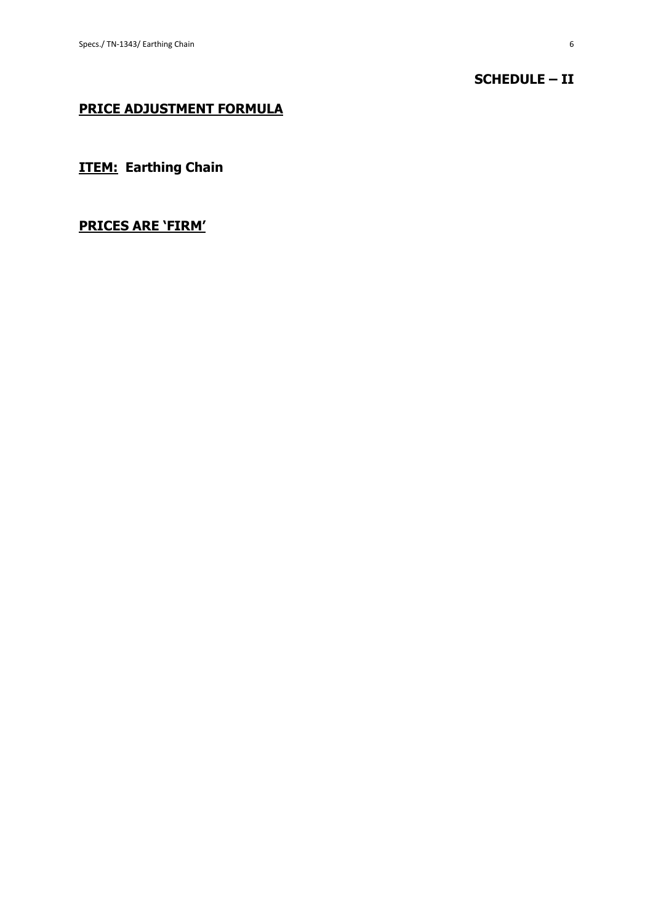## **SCHEDULE – II**

## **PRICE ADJUSTMENT FORMULA**

**ITEM: Earthing Chain**

## **PRICES ARE 'FIRM'**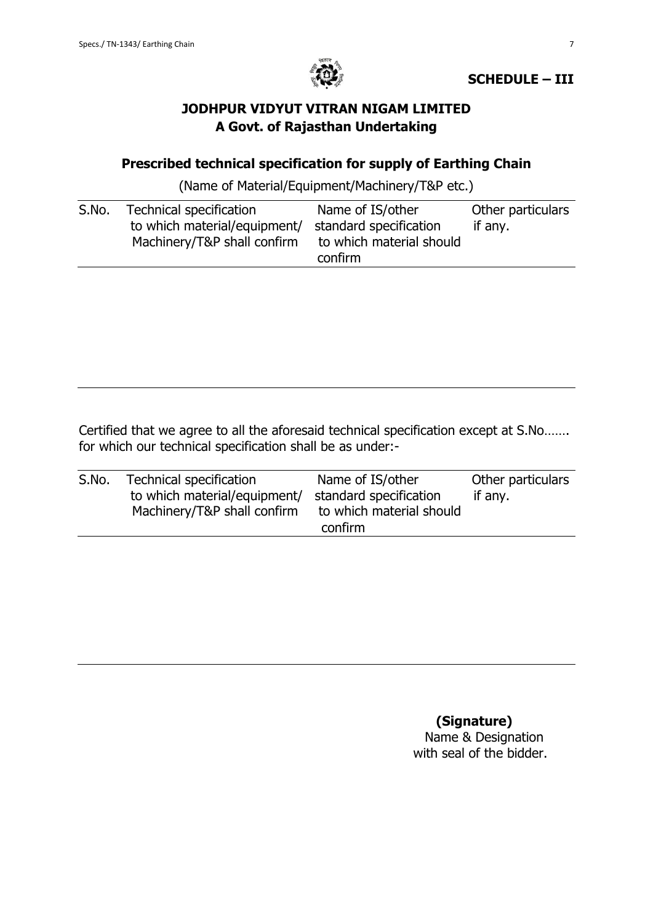

**SCHEDULE – III**

# **JODHPUR VIDYUT VITRAN NIGAM LIMITED A Govt. of Rajasthan Undertaking**

# **Prescribed technical specification for supply of Earthing Chain**

(Name of Material/Equipment/Machinery/T&P etc.)

| S.No. | Technical specification      | Name of IS/other         | Other particulars |
|-------|------------------------------|--------------------------|-------------------|
|       | to which material/equipment/ | standard specification   | if any.           |
|       | Machinery/T&P shall confirm  | to which material should |                   |
|       |                              | confirm                  |                   |

Certified that we agree to all the aforesaid technical specification except at S.No……. for which our technical specification shall be as under:-

| S.No. | Technical specification<br>to which material/equipment/<br>Machinery/T&P shall confirm | Name of IS/other<br>standard specification<br>to which material should<br>confirm | Other particulars<br>if any. |
|-------|----------------------------------------------------------------------------------------|-----------------------------------------------------------------------------------|------------------------------|
|       |                                                                                        |                                                                                   |                              |
|       |                                                                                        |                                                                                   |                              |

 **(Signature)** Name & Designation with seal of the bidder.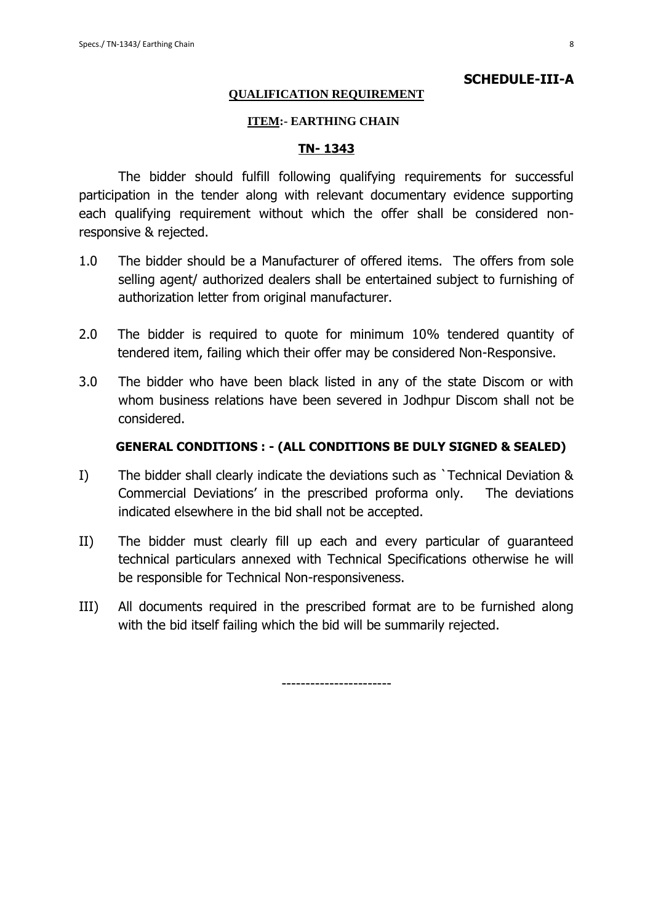### **QUALIFICATION REQUIREMENT**

### **ITEM:- EARTHING CHAIN**

#### **TN- 1343**

The bidder should fulfill following qualifying requirements for successful participation in the tender along with relevant documentary evidence supporting each qualifying requirement without which the offer shall be considered nonresponsive & rejected.

- 1.0 The bidder should be a Manufacturer of offered items. The offers from sole selling agent/ authorized dealers shall be entertained subject to furnishing of authorization letter from original manufacturer.
- 2.0 The bidder is required to quote for minimum 10% tendered quantity of tendered item, failing which their offer may be considered Non-Responsive.
- 3.0 The bidder who have been black listed in any of the state Discom or with whom business relations have been severed in Jodhpur Discom shall not be considered.

### **GENERAL CONDITIONS : - (ALL CONDITIONS BE DULY SIGNED & SEALED)**

- I) The bidder shall clearly indicate the deviations such as `Technical Deviation & Commercial Deviations' in the prescribed proforma only. The deviations indicated elsewhere in the bid shall not be accepted.
- II) The bidder must clearly fill up each and every particular of guaranteed technical particulars annexed with Technical Specifications otherwise he will be responsible for Technical Non-responsiveness.
- III) All documents required in the prescribed format are to be furnished along with the bid itself failing which the bid will be summarily rejected.

-----------------------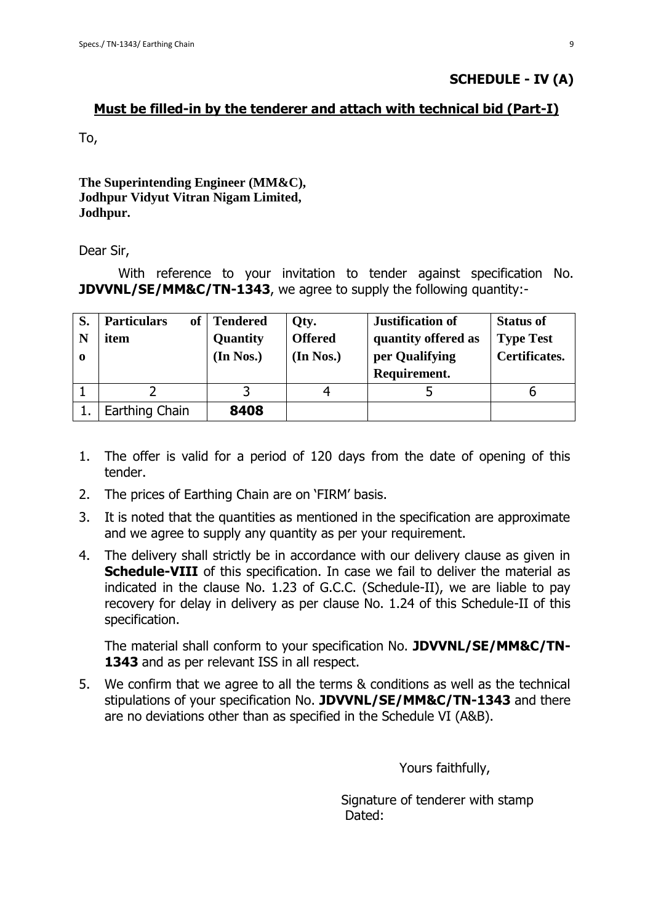## **Must be filled-in by the tenderer and attach with technical bid (Part-I)**

To,

## **The Superintending Engineer (MM&C), Jodhpur Vidyut Vitran Nigam Limited, Jodhpur.**

Dear Sir,

With reference to your invitation to tender against specification No. **JDVVNL/SE/MM&C/TN-1343**, we agree to supply the following quantity:-

| S.          | <b>Particulars</b><br>of | <b>Tendered</b> | Qty.           | <b>Justification of</b> | <b>Status of</b> |
|-------------|--------------------------|-----------------|----------------|-------------------------|------------------|
|             | item                     | Quantity        | <b>Offered</b> | quantity offered as     | <b>Type Test</b> |
| $\mathbf o$ |                          | (In Nos.)       | (In Nos.)      | per Qualifying          | Certificates.    |
|             |                          |                 |                | Requirement.            |                  |
|             |                          |                 |                |                         |                  |
|             | Earthing Chain           | 8408            |                |                         |                  |

- 1. The offer is valid for a period of 120 days from the date of opening of this tender.
- 2. The prices of Earthing Chain are on 'FIRM' basis.
- 3. It is noted that the quantities as mentioned in the specification are approximate and we agree to supply any quantity as per your requirement.
- 4. The delivery shall strictly be in accordance with our delivery clause as given in **Schedule-VIII** of this specification. In case we fail to deliver the material as indicated in the clause No. 1.23 of G.C.C. (Schedule-II), we are liable to pay recovery for delay in delivery as per clause No. 1.24 of this Schedule-II of this specification.

The material shall conform to your specification No. **JDVVNL/SE/MM&C/TN-**1343 and as per relevant ISS in all respect.

5. We confirm that we agree to all the terms & conditions as well as the technical stipulations of your specification No. **JDVVNL/SE/MM&C/TN-1343** and there are no deviations other than as specified in the Schedule VI (A&B).

Yours faithfully,

 Signature of tenderer with stamp Dated: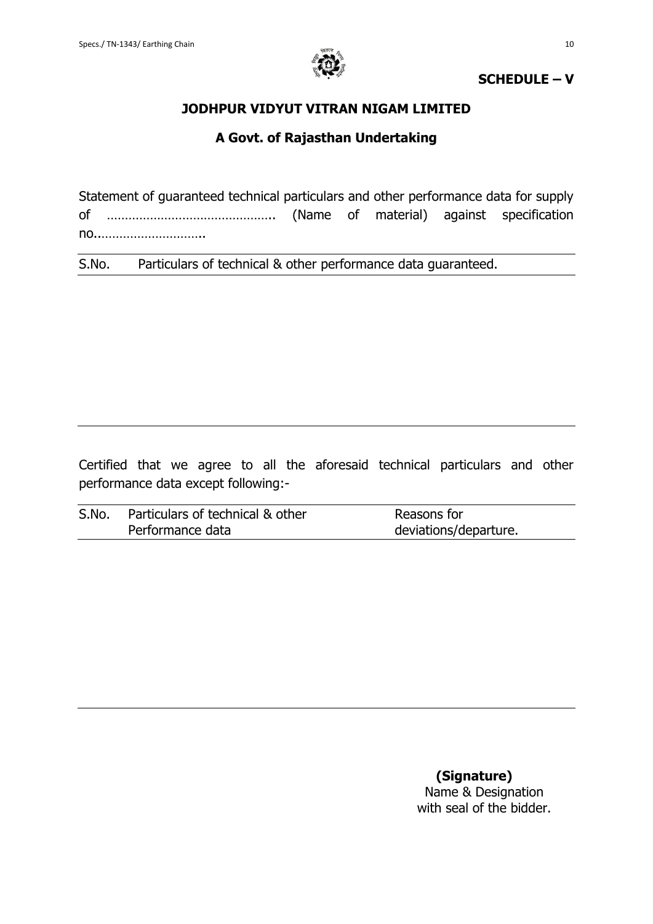

## **SCHEDULE – V**

## **JODHPUR VIDYUT VITRAN NIGAM LIMITED**

## **A Govt. of Rajasthan Undertaking**

Statement of guaranteed technical particulars and other performance data for supply of ……………………………………….. (Name of material) against specification no..………………………..

S.No. Particulars of technical & other performance data guaranteed.

Certified that we agree to all the aforesaid technical particulars and other performance data except following:-

| S.No. | Particulars of technical & other | Reasons for           |
|-------|----------------------------------|-----------------------|
|       | Performance data                 | deviations/departure. |

 **(Signature)** Name & Designation with seal of the bidder.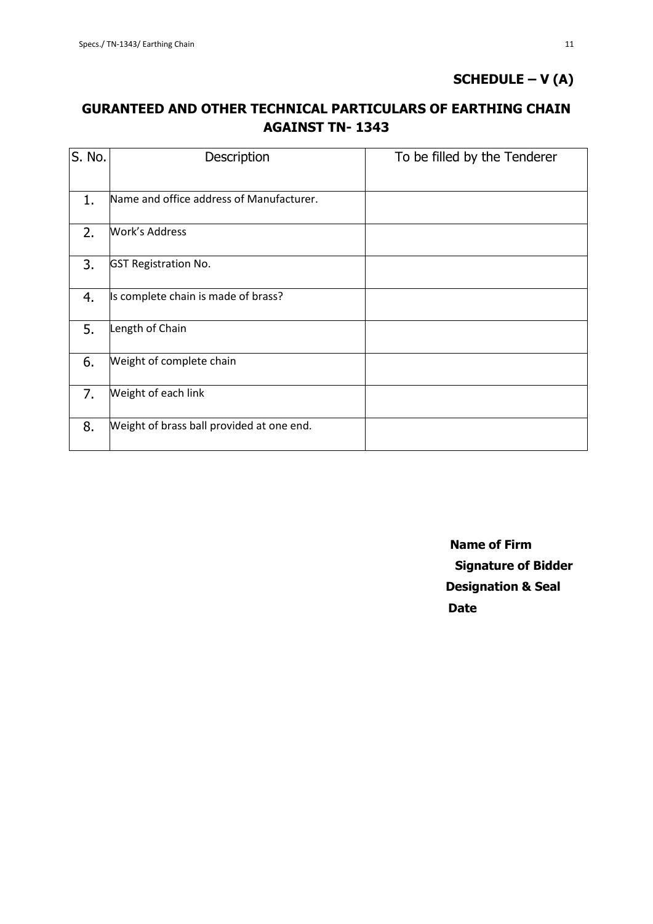# **SCHEDULE – V (A)**

# **GURANTEED AND OTHER TECHNICAL PARTICULARS OF EARTHING CHAIN AGAINST TN- 1343**

| S. No. | Description                               | To be filled by the Tenderer |
|--------|-------------------------------------------|------------------------------|
| 1.     | Name and office address of Manufacturer.  |                              |
| 2.     | <b>Work's Address</b>                     |                              |
| 3.     | <b>GST Registration No.</b>               |                              |
| 4.     | Is complete chain is made of brass?       |                              |
| 5.     | Length of Chain                           |                              |
| 6.     | Weight of complete chain                  |                              |
| 7.     | Weight of each link                       |                              |
| 8.     | Weight of brass ball provided at one end. |                              |

 **Name of Firm Signature of Bidder Designation & Seal** *Date*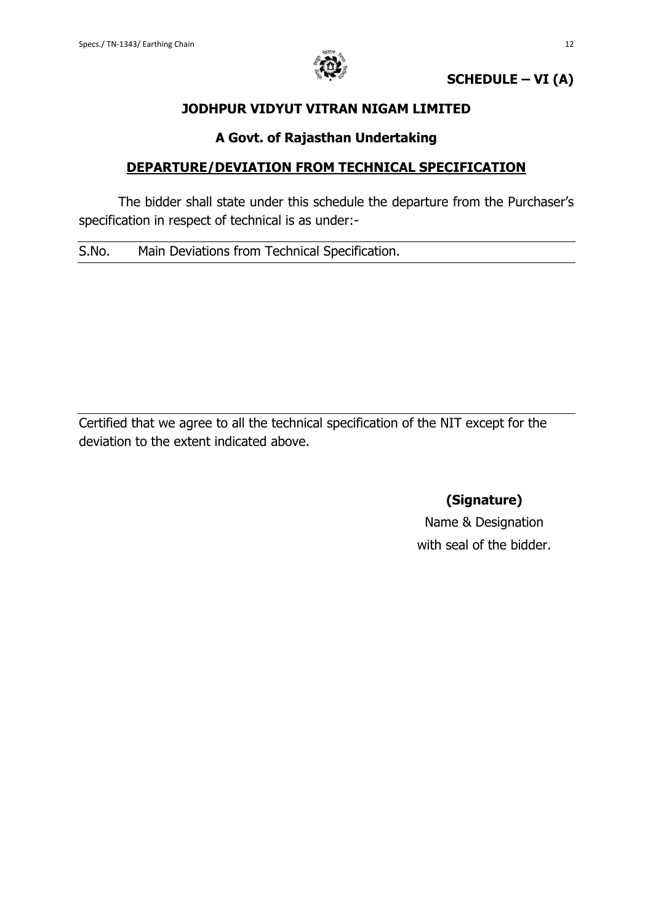

**SCHEDULE – VI (A)**

## **JODHPUR VIDYUT VITRAN NIGAM LIMITED**

## **A Govt. of Rajasthan Undertaking**

## **DEPARTURE/DEVIATION FROM TECHNICAL SPECIFICATION**

The bidder shall state under this schedule the departure from the Purchaser's specification in respect of technical is as under:-

S.No. Main Deviations from Technical Specification.

Certified that we agree to all the technical specification of the NIT except for the deviation to the extent indicated above.

**(Signature)**

Name & Designation with seal of the bidder.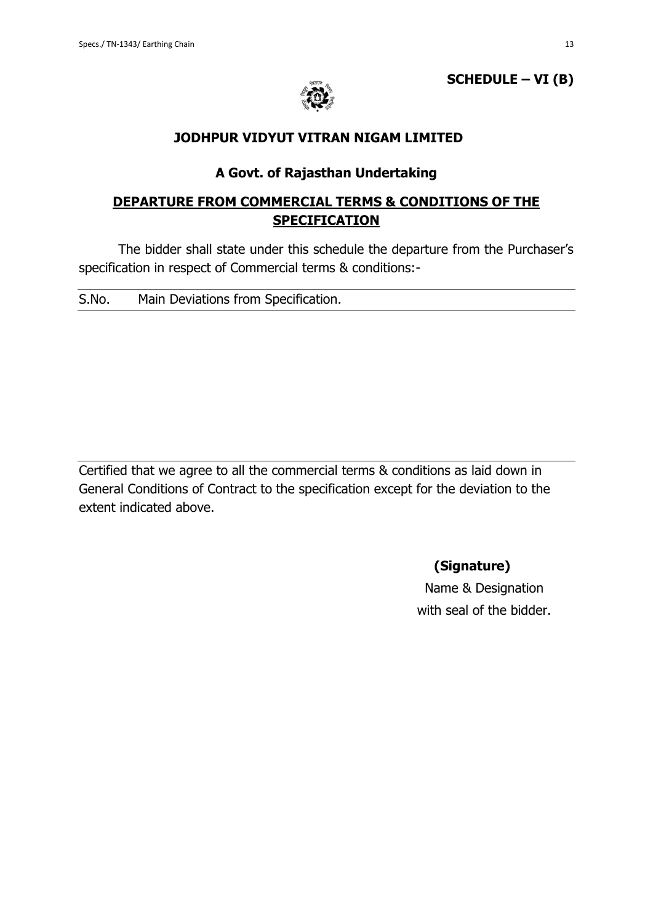

**SCHEDULE – VI (B)**

### **JODHPUR VIDYUT VITRAN NIGAM LIMITED**

## **A Govt. of Rajasthan Undertaking**

# **DEPARTURE FROM COMMERCIAL TERMS & CONDITIONS OF THE SPECIFICATION**

The bidder shall state under this schedule the departure from the Purchaser's specification in respect of Commercial terms & conditions:-

| S.No.<br>Main Deviations from Specification. |  |
|----------------------------------------------|--|
|----------------------------------------------|--|

Certified that we agree to all the commercial terms & conditions as laid down in General Conditions of Contract to the specification except for the deviation to the extent indicated above.

**(Signature)**

Name & Designation with seal of the bidder.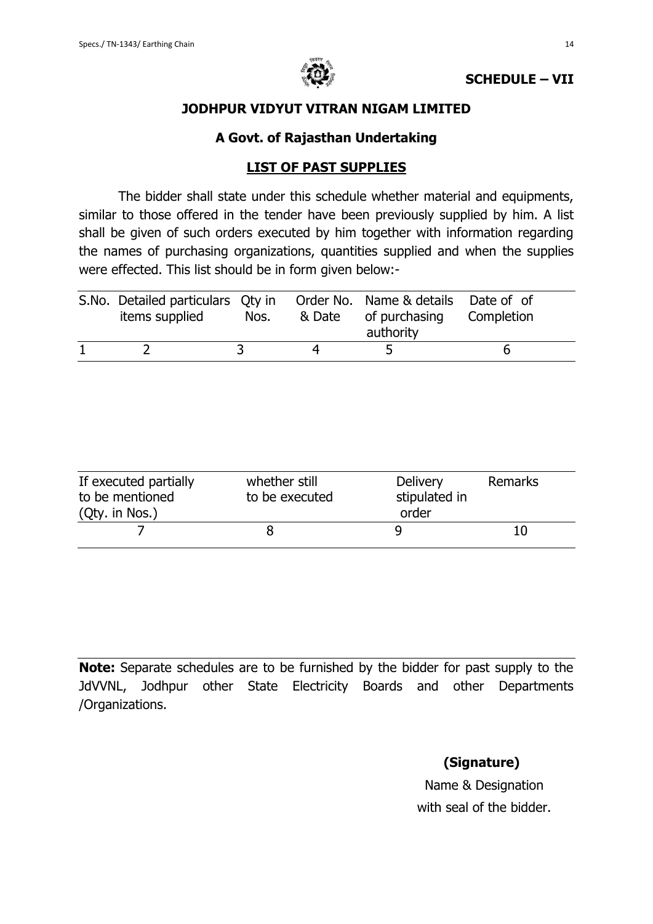

## **JODHPUR VIDYUT VITRAN NIGAM LIMITED**

## **A Govt. of Rajasthan Undertaking**

## **LIST OF PAST SUPPLIES**

The bidder shall state under this schedule whether material and equipments, similar to those offered in the tender have been previously supplied by him. A list shall be given of such orders executed by him together with information regarding the names of purchasing organizations, quantities supplied and when the supplies were effected. This list should be in form given below:-

| S.No. Detailed particulars Qty in Order No. Name & details Date of of<br>items supplied | Nos. | & Date | of purchasing<br>authority | Completion |
|-----------------------------------------------------------------------------------------|------|--------|----------------------------|------------|
|                                                                                         |      |        |                            |            |

| If executed partially<br>to be mentioned<br>(Qty. in Nos.) | whether still<br>to be executed | <b>Delivery</b><br>stipulated in<br>order | Remarks |
|------------------------------------------------------------|---------------------------------|-------------------------------------------|---------|
|                                                            |                                 |                                           |         |

**Note:** Separate schedules are to be furnished by the bidder for past supply to the JdVVNL, Jodhpur other State Electricity Boards and other Departments /Organizations.

# **(Signature)**

Name & Designation with seal of the bidder.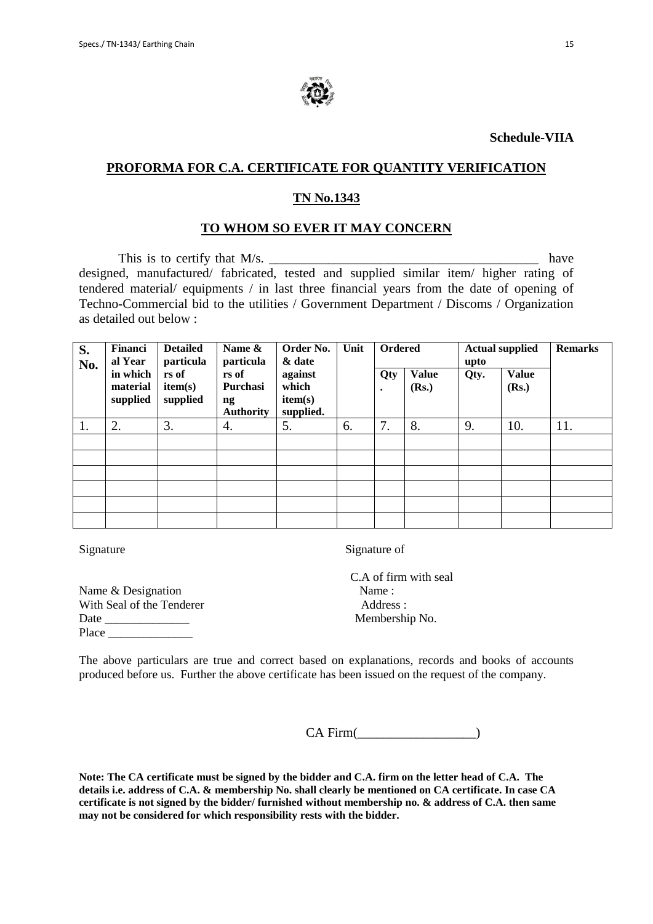

**Schedule-VIIA**

### **PROFORMA FOR C.A. CERTIFICATE FOR QUANTITY VERIFICATION**

### **TN No.1343**

### **TO WHOM SO EVER IT MAY CONCERN**

This is to certify that  $M/s$ . have designed, manufactured/ fabricated, tested and supplied similar item/ higher rating of tendered material/ equipments / in last three financial years from the date of opening of Techno-Commercial bid to the utilities / Government Department / Discoms / Organization as detailed out below :

| S.<br>No. | Financi<br>al Year               | <b>Detailed</b><br>particula | Name &<br>particula                                             | Order No.<br>& date                      | Unit | <b>Ordered</b>   |                       | upto | <b>Actual supplied</b> | <b>Remarks</b> |
|-----------|----------------------------------|------------------------------|-----------------------------------------------------------------|------------------------------------------|------|------------------|-----------------------|------|------------------------|----------------|
|           | in which<br>material<br>supplied | rs of<br>item(s)<br>supplied | rs of<br>Purchasi<br>$\mathbf{n}\mathbf{g}$<br><b>Authority</b> | against<br>which<br>item(s)<br>supplied. |      | Qty<br>$\bullet$ | <b>Value</b><br>(Rs.) | Qty. | <b>Value</b><br>(Rs.)  |                |
| 1.        | 2.                               | 3.                           | 4.                                                              | 5.                                       | 6.   | 7.               | 8.                    | 9.   | 10.                    | 11.            |
|           |                                  |                              |                                                                 |                                          |      |                  |                       |      |                        |                |
|           |                                  |                              |                                                                 |                                          |      |                  |                       |      |                        |                |
|           |                                  |                              |                                                                 |                                          |      |                  |                       |      |                        |                |
|           |                                  |                              |                                                                 |                                          |      |                  |                       |      |                        |                |
|           |                                  |                              |                                                                 |                                          |      |                  |                       |      |                        |                |
|           |                                  |                              |                                                                 |                                          |      |                  |                       |      |                        |                |

Signature Signature of

Name & Designation Name : With Seal of the Tenderer Address: Date Membership No. Place  $\Box$ 

C.A of firm with seal

The above particulars are true and correct based on explanations, records and books of accounts produced before us. Further the above certificate has been issued on the request of the company.

CA Firm(

**Note: The CA certificate must be signed by the bidder and C.A. firm on the letter head of C.A. The details i.e. address of C.A. & membership No. shall clearly be mentioned on CA certificate. In case CA certificate is not signed by the bidder/ furnished without membership no. & address of C.A. then same may not be considered for which responsibility rests with the bidder.**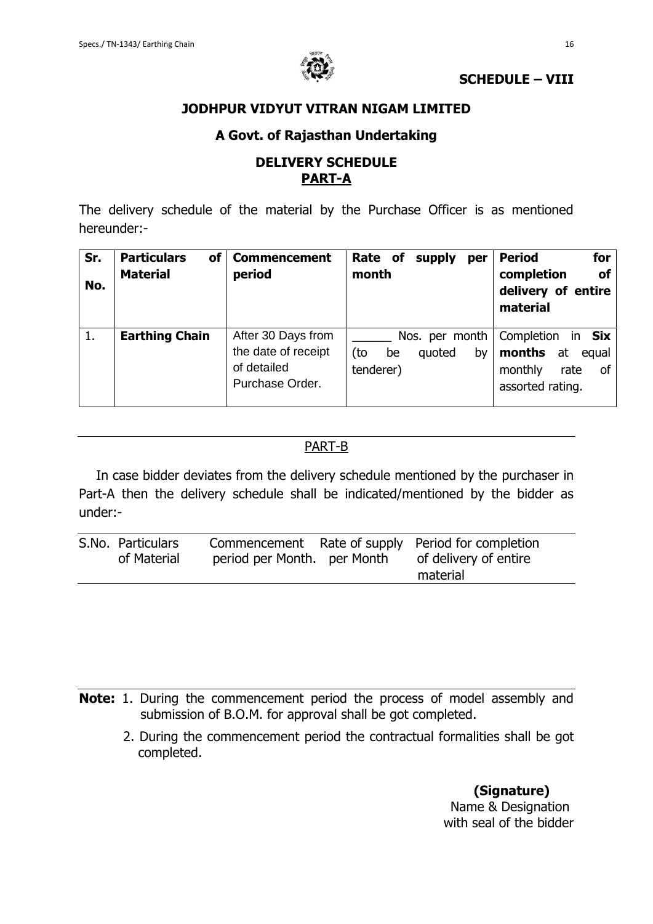

## **SCHEDULE – VIII**

## **JODHPUR VIDYUT VITRAN NIGAM LIMITED**

## **A Govt. of Rajasthan Undertaking**

## **DELIVERY SCHEDULE PART-A**

The delivery schedule of the material by the Purchase Officer is as mentioned hereunder:-

| Sr.<br>No. | <b>Particulars</b><br>of<br><b>Material</b> | <b>Commencement</b><br>period                                               | Rate of<br>supply<br>per<br>month                        | for<br><b>Period</b><br>completion<br><b>of</b><br>delivery of entire<br>material             |
|------------|---------------------------------------------|-----------------------------------------------------------------------------|----------------------------------------------------------|-----------------------------------------------------------------------------------------------|
| 1.         | <b>Earthing Chain</b>                       | After 30 Days from<br>the date of receipt<br>of detailed<br>Purchase Order. | Nos. per month<br>(to<br>quoted<br>be<br>by<br>tenderer) | Completion<br>Six<br>ın<br>months<br>at<br>equal<br>monthly<br>rate<br>οf<br>assorted rating. |

## PART-B

In case bidder deviates from the delivery schedule mentioned by the purchaser in Part-A then the delivery schedule shall be indicated/mentioned by the bidder as under:-

| S.No. Particulars<br>of Material | period per Month. per Month | Commencement Rate of supply Period for completion<br>of delivery of entire<br>material |
|----------------------------------|-----------------------------|----------------------------------------------------------------------------------------|
|                                  |                             |                                                                                        |

- **Note:** 1. During the commencement period the process of model assembly and submission of B.O.M. for approval shall be got completed.
	- 2. During the commencement period the contractual formalities shall be got completed.

 **(Signature)** Name & Designation with seal of the bidder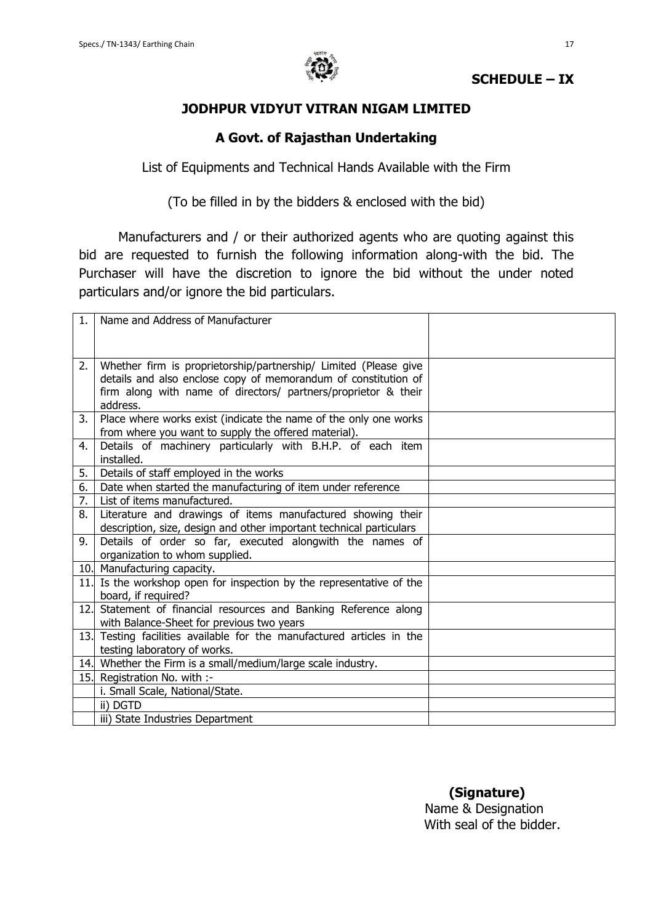

## **SCHEDULE – IX**

## **JODHPUR VIDYUT VITRAN NIGAM LIMITED**

## **A Govt. of Rajasthan Undertaking**

List of Equipments and Technical Hands Available with the Firm

(To be filled in by the bidders & enclosed with the bid)

Manufacturers and / or their authorized agents who are quoting against this bid are requested to furnish the following information along-with the bid. The Purchaser will have the discretion to ignore the bid without the under noted particulars and/or ignore the bid particulars.

| 1.   | Name and Address of Manufacturer                                    |  |
|------|---------------------------------------------------------------------|--|
|      |                                                                     |  |
|      |                                                                     |  |
| 2.   | Whether firm is proprietorship/partnership/ Limited (Please give    |  |
|      | details and also enclose copy of memorandum of constitution of      |  |
|      | firm along with name of directors/ partners/proprietor & their      |  |
|      | address.                                                            |  |
| 3.   | Place where works exist (indicate the name of the only one works    |  |
|      | from where you want to supply the offered material).                |  |
| 4.   | Details of machinery particularly with B.H.P. of each item          |  |
|      | installed.                                                          |  |
| 5.   | Details of staff employed in the works                              |  |
| 6.   | Date when started the manufacturing of item under reference         |  |
| 7.   | List of items manufactured.                                         |  |
| 8.   | Literature and drawings of items manufactured showing their         |  |
|      | description, size, design and other important technical particulars |  |
| 9.   | Details of order so far, executed alongwith the names of            |  |
|      | organization to whom supplied.                                      |  |
|      | 10. Manufacturing capacity.                                         |  |
| 11.  | Is the workshop open for inspection by the representative of the    |  |
|      | board, if required?                                                 |  |
| 12.1 | Statement of financial resources and Banking Reference along        |  |
|      | with Balance-Sheet for previous two years                           |  |
| 13.  | Testing facilities available for the manufactured articles in the   |  |
|      | testing laboratory of works.                                        |  |
|      | 14. Whether the Firm is a small/medium/large scale industry.        |  |
|      | 15. Registration No. with :-                                        |  |
|      | i. Small Scale, National/State.                                     |  |
|      | ii) DGTD                                                            |  |
|      | iii) State Industries Department                                    |  |

 **(Signature)** Name & Designation With seal of the bidder.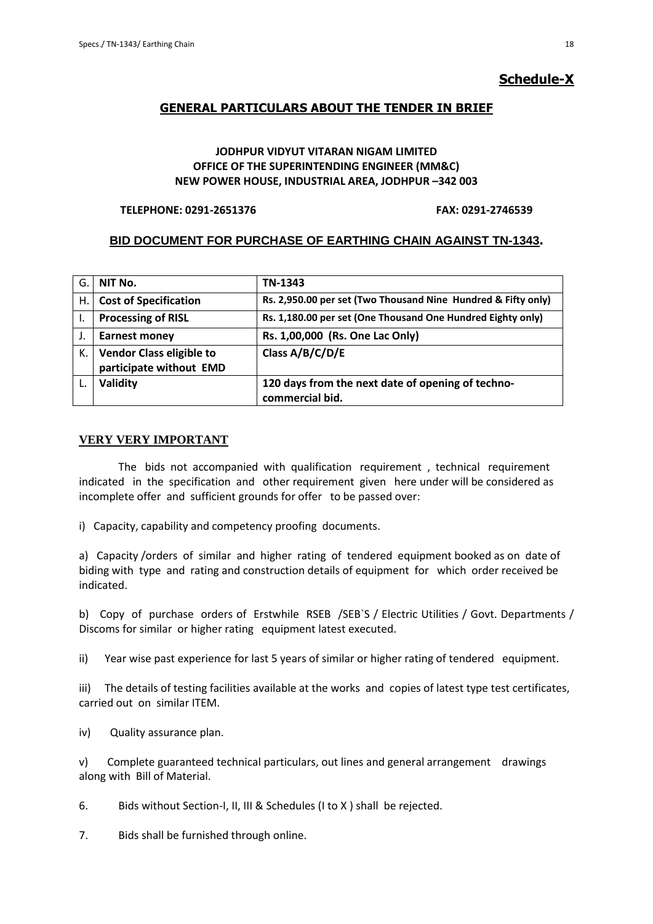### **Schedule-X**

### **GENERAL PARTICULARS ABOUT THE TENDER IN BRIEF**

### **JODHPUR VIDYUT VITARAN NIGAM LIMITED OFFICE OF THE SUPERINTENDING ENGINEER (MM&C) NEW POWER HOUSE, INDUSTRIAL AREA, JODHPUR –342 003**

#### **TELEPHONE: 0291-2651376 FAX: 0291-2746539**

### **BID DOCUMENT FOR PURCHASE OF EARTHING CHAIN AGAINST TN-1343.**

| G. | NIT No.                                                    | TN-1343                                                              |
|----|------------------------------------------------------------|----------------------------------------------------------------------|
| Η. | <b>Cost of Specification</b>                               | Rs. 2,950.00 per set (Two Thousand Nine Hundred & Fifty only)        |
|    | <b>Processing of RISL</b>                                  | Rs. 1,180.00 per set (One Thousand One Hundred Eighty only)          |
|    | <b>Earnest money</b>                                       | Rs. 1,00,000 (Rs. One Lac Only)                                      |
| К. | <b>Vendor Class eligible to</b><br>participate without EMD | Class A/B/C/D/E                                                      |
|    | Validity                                                   | 120 days from the next date of opening of techno-<br>commercial bid. |

#### **VERY VERY IMPORTANT**

 The bids not accompanied with qualification requirement , technical requirement indicated in the specification and other requirement given here under will be considered as incomplete offer and sufficient grounds for offer to be passed over:

i) Capacity, capability and competency proofing documents.

a) Capacity /orders of similar and higher rating of tendered equipment booked as on date of biding with type and rating and construction details of equipment for which order received be indicated.

b) Copy of purchase orders of Erstwhile RSEB /SEB`S / Electric Utilities / Govt. Departments / Discoms for similar or higher rating equipment latest executed.

ii) Year wise past experience for last 5 years of similar or higher rating of tendered equipment.

iii) The details of testing facilities available at the works and copies of latest type test certificates, carried out on similar ITEM.

iv) Quality assurance plan.

v) Complete guaranteed technical particulars, out lines and general arrangement drawings along with Bill of Material.

6. Bids without Section-I, II, III & Schedules (I to X ) shall be rejected.

7. Bids shall be furnished through online.